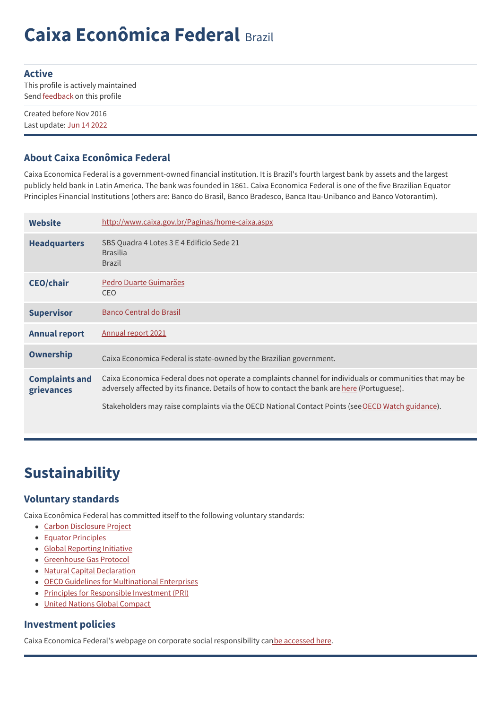# **Caixa Econômica Federal** Brazil

#### **Active**

This profile is actively maintained Send **[feedback](https://www.banktrack.org/feedback/bankprofile/caixa_economica_federal)** on this profile

Created before Nov 2016 Last update: Jun 14 2022

### **About Caixa Econômica Federal**

Caixa Economica Federal is a government-owned financial institution. It is Brazil's fourth largest bank by assets and the largest publicly held bank in Latin America. The bank was founded in 1861. Caixa Economica Federal is one of the five Brazilian Equator Principles Financial Institutions (others are: Banco do Brasil, Banco Bradesco, Banca Itau-Unibanco and Banco Votorantim).

| Website                             | http://www.caixa.gov.br/Paginas/home-caixa.aspx                                                                                                                                                                                                                                                                      |
|-------------------------------------|----------------------------------------------------------------------------------------------------------------------------------------------------------------------------------------------------------------------------------------------------------------------------------------------------------------------|
| <b>Headquarters</b>                 | SBS Quadra 4 Lotes 3 E 4 Edificio Sede 21<br><b>Brasilia</b><br><b>Brazil</b>                                                                                                                                                                                                                                        |
| <b>CEO/chair</b>                    | Pedro Duarte Guimarães<br><b>CEO</b>                                                                                                                                                                                                                                                                                 |
| <b>Supervisor</b>                   | Banco Central do Brasil                                                                                                                                                                                                                                                                                              |
| <b>Annual report</b>                | Annual report 2021                                                                                                                                                                                                                                                                                                   |
| <b>Ownership</b>                    | Caixa Economica Federal is state-owned by the Brazilian government.                                                                                                                                                                                                                                                  |
| <b>Complaints and</b><br>grievances | Caixa Economica Federal does not operate a complaints channel for individuals or communities that may be<br>adversely affected by its finance. Details of how to contact the bank are <u>here</u> (Portuguese).<br>Stakeholders may raise complaints via the OECD National Contact Points (see OECD Watch guidance). |
|                                     |                                                                                                                                                                                                                                                                                                                      |

## **Sustainability**

### **Voluntary standards**

Caixa Econômica Federal has committed itself to the following voluntary standards:

- Carbon [Disclosure](https://www.cdp.net/en-US/Pages/HomePage.aspx) Project
- Equator [Principles](http://www.equator-principles.com)
- Global [Reporting](http://www.globalreporting.org) Initiative
- [Greenhouse](http://www.ghgprotocol.org/) Gas Protocol
- Natural Capital [Declaration](http://www.naturalcapitaldeclaration.org/)
- OECD Guidelines for [Multinational](http://www.oecd.org/document/28/0,3746,en_2649_34889_2397532_1_1_1_1,00.html) Enterprises
- Principles for [Responsible](http://www.unpri.org/) Investment (PRI)
- United Nations Global [Compact](http://www.unglobalcompact.org/)

### **Investment policies**

Caixa Economica Federal's webpage on corporate social responsibility canbe [accessed](https://ri.caixa.gov.br/en/company/sustainability/) here.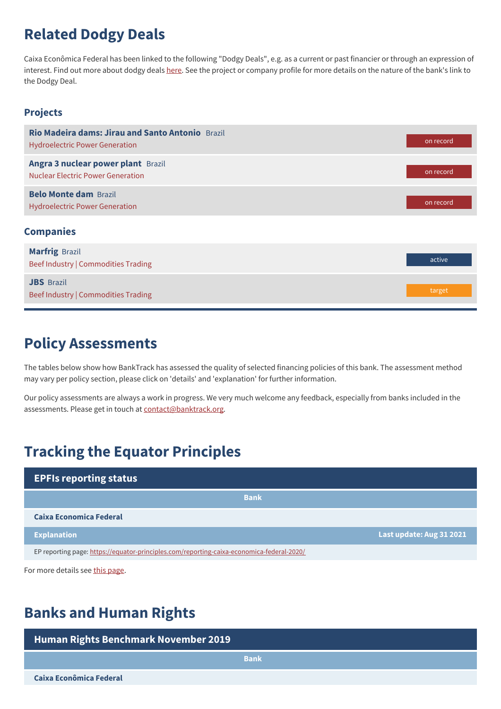### **Related Dodgy Deals**

Caixa Econômica Federal has been linked to the following "Dodgy Deals", e.g. as a current or past financier or through an expression of interest. Find out more about dodgy deals [here](https://www.banktrack.org/show/page/what_are_dodgy_deals). See the project or company profile for more details on the nature of the bank's link to the Dodgy Deal.

#### **Projects**

| Rio Madeira dams: Jirau and Santo Antonio Brazil<br><b>Hydroelectric Power Generation</b> | on record |
|-------------------------------------------------------------------------------------------|-----------|
| Angra 3 nuclear power plant Brazil<br><b>Nuclear Electric Power Generation</b>            | on record |
| <b>Belo Monte dam Brazil</b><br><b>Hydroelectric Power Generation</b>                     | on record |
| <b>Companies</b>                                                                          |           |
| <b>Marfrig Brazil</b><br>Beef Industry   Commodities Trading                              | active    |
| <b>JBS</b> Brazil<br>Beef Industry   Commodities Trading                                  | target    |

### **Policy Assessments**

The tables below show how BankTrack has assessed the quality of selected financing policies of this bank. The assessment method may vary per policy section, please click on 'details' and 'explanation' for further information.

Our policy assessments are always a work in progress. We very much welcome any feedback, especially from banks included in the assessments. Please get in touch at [contact@banktrack.org](mailto:climate@banktrack.org).

### **Tracking the Equator Principles**

| <b>EPFIs reporting status</b>                                                             |                          |  |
|-------------------------------------------------------------------------------------------|--------------------------|--|
| <b>Bank</b>                                                                               |                          |  |
| Caixa Economica Federal                                                                   |                          |  |
| <b>Explanation</b>                                                                        | Last update: Aug 31 2021 |  |
| EP reporting page: https://equator-principles.com/reporting-caixa-economica-federal-2020/ |                          |  |

For more details see this [page](https://www.banktrack.org/campaign/equator_principles_financial_institutions_reporting_requirements).

### **Banks and Human Rights**

| Human Rights Benchmark November 2019 |             |
|--------------------------------------|-------------|
|                                      | <b>Bank</b> |
| Caixa Econômica Federal              |             |